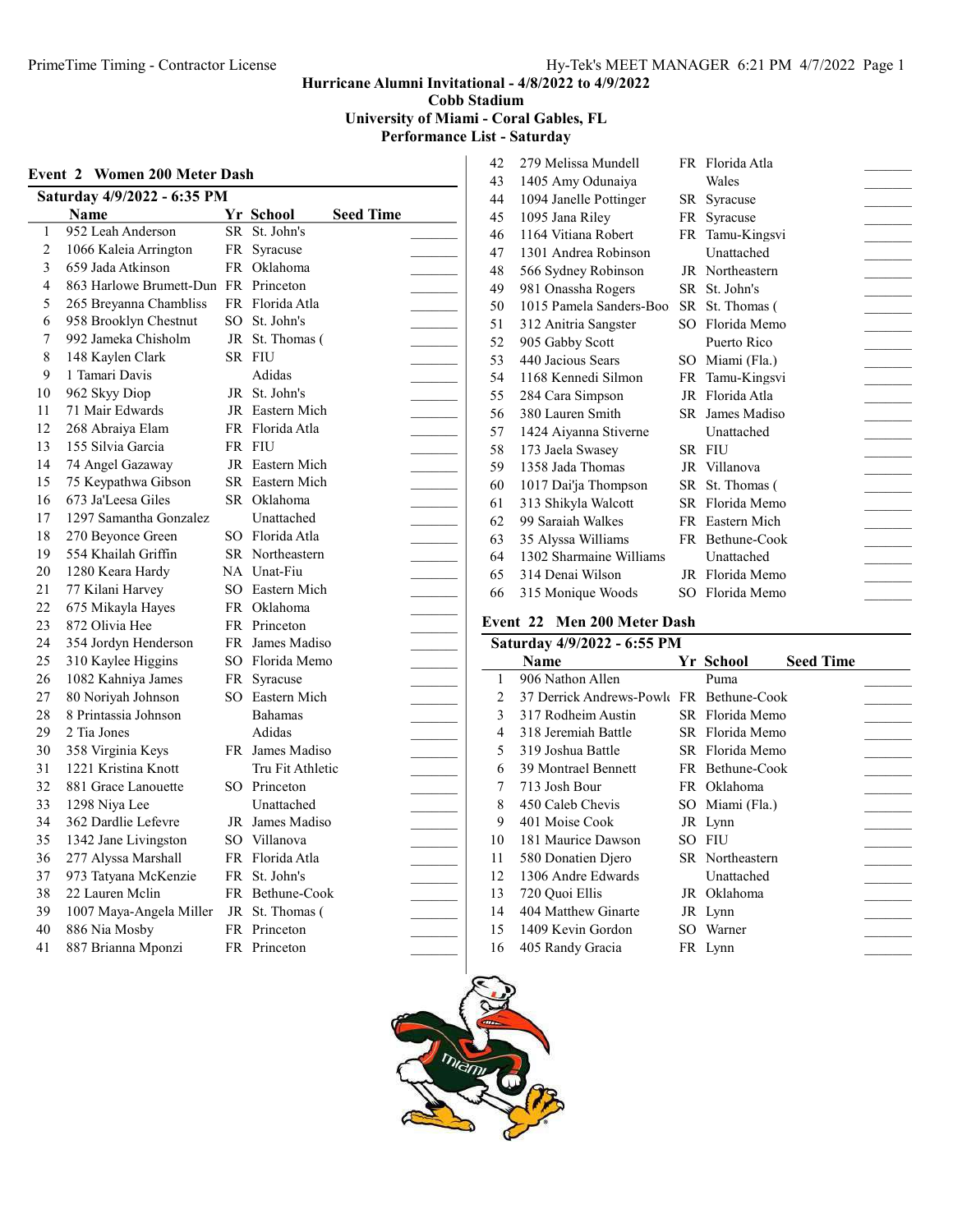Hurricane Alumni Invitational - 4/8/2022 to 4/9/2022

Cobb Stadium

University of Miami - Coral Gables, FL

Performance List - Saturday

|    | Saturday 4/9/2022 - 6:35 PM          |    |                               |  |
|----|--------------------------------------|----|-------------------------------|--|
|    | Name                                 |    | Yr School<br><b>Seed Time</b> |  |
| 1  | 952 Leah Anderson                    |    | SR St. John's                 |  |
| 2  | 1066 Kaleia Arrington                | FR | Syracuse                      |  |
| 3  | 659 Jada Atkinson                    |    | FR Oklahoma                   |  |
| 4  | 863 Harlowe Brumett-Dun FR Princeton |    |                               |  |
| 5  | 265 Breyanna Chambliss               |    | FR Florida Atla               |  |
| 6  | 958 Brooklyn Chestnut                |    | SO St. John's                 |  |
| 7  | 992 Jameka Chisholm                  |    | JR St. Thomas (               |  |
| 8  | 148 Kaylen Clark                     |    | SR FIU                        |  |
| 9  | 1 Tamari Davis                       |    | Adidas                        |  |
| 10 | 962 Skyy Diop                        |    | JR St. John's                 |  |
| 11 | 71 Mair Edwards                      |    | JR Eastern Mich               |  |
| 12 | 268 Abraiya Elam                     |    | FR Florida Atla               |  |
| 13 | 155 Silvia Garcia                    |    | FR FIU                        |  |
| 14 | 74 Angel Gazaway                     |    | JR Eastern Mich               |  |
| 15 | 75 Keypathwa Gibson                  |    | SR Eastern Mich               |  |
| 16 | 673 Ja'Leesa Giles                   |    | SR Oklahoma                   |  |
| 17 | 1297 Samantha Gonzalez               |    | Unattached                    |  |
| 18 | 270 Beyonce Green                    |    | SO Florida Atla               |  |
| 19 | 554 Khailah Griffin                  |    | SR Northeastern               |  |
| 20 | 1280 Keara Hardy                     |    | NA Unat-Fiu                   |  |
| 21 | 77 Kilani Harvey                     |    | SO Eastern Mich               |  |
| 22 | 675 Mikayla Hayes                    |    | FR Oklahoma                   |  |
| 23 | 872 Olivia Hee                       |    | FR Princeton                  |  |
| 24 | 354 Jordyn Henderson                 |    | FR James Madiso               |  |
| 25 | 310 Kaylee Higgins                   |    | SO Florida Memo               |  |
| 26 | 1082 Kahniya James                   | FR | Syracuse                      |  |
| 27 | 80 Noriyah Johnson                   |    | SO Eastern Mich               |  |
| 28 | 8 Printassia Johnson                 |    | Bahamas                       |  |
| 29 | 2 Tia Jones                          |    | Adidas                        |  |
| 30 | 358 Virginia Keys                    |    | FR James Madiso               |  |
| 31 | 1221 Kristina Knott                  |    | Tru Fit Athletic              |  |
| 32 | 881 Grace Lanouette                  |    | SO Princeton                  |  |
| 33 | 1298 Niya Lee                        |    | Unattached                    |  |
| 34 | 362 Dardlie Lefevre                  |    | JR James Madiso               |  |
| 35 | 1342 Jane Livingston                 |    | SO Villanova                  |  |
| 36 | 277 Alyssa Marshall                  |    | FR Florida Atla               |  |
| 37 | 973 Tatyana McKenzie                 |    | FR St. John's                 |  |
| 38 | 22 Lauren Mclin                      |    | FR Bethune-Cook               |  |
| 39 | 1007 Maya-Angela Miller              | JR | St. Thomas (                  |  |
| 40 | 886 Nia Mosby                        |    | FR Princeton                  |  |
| 41 | 887 Brianna Mponzi                   | FR | Princeton                     |  |

| 42 | 279 Melissa Mundell     |      | FR Florida Atla |  |
|----|-------------------------|------|-----------------|--|
| 43 | 1405 Amy Odunaiya       |      | Wales           |  |
| 44 | 1094 Janelle Pottinger  | SR.  | Syracuse        |  |
| 45 | 1095 Jana Riley         | FR   | Syracuse        |  |
| 46 | 1164 Vitiana Robert     |      | FR Tamu-Kingsvi |  |
| 47 | 1301 Andrea Robinson    |      | Unattached      |  |
| 48 | 566 Sydney Robinson     |      | JR Northeastern |  |
| 49 | 981 Onassha Rogers      | SR   | St. John's      |  |
| 50 | 1015 Pamela Sanders-Boo |      | SR St. Thomas ( |  |
| 51 | 312 Anitria Sangster    | SO.  | Florida Memo    |  |
| 52 | 905 Gabby Scott         |      | Puerto Rico     |  |
| 53 | 440 Jacious Sears       | SO.  | Miami (Fla.)    |  |
| 54 | 1168 Kennedi Silmon     |      | FR Tamu-Kingsvi |  |
| 55 | 284 Cara Simpson        |      | JR Florida Atla |  |
| 56 | 380 Lauren Smith        | SR - | James Madiso    |  |
| 57 | 1424 Aiyanna Stiverne   |      | Unattached      |  |
| 58 | 173 Jaela Swasey        |      | SR FIU          |  |
| 59 | 1358 Jada Thomas        |      | JR Villanova    |  |
| 60 | 1017 Dai'ja Thompson    |      | SR St. Thomas ( |  |
| 61 | 313 Shikyla Walcott     |      | SR Florida Memo |  |
| 62 | 99 Saraiah Walkes       |      | FR Eastern Mich |  |
| 63 | 35 Alyssa Williams      |      | FR Bethune-Cook |  |
| 64 | 1302 Sharmaine Williams |      | Unattached      |  |
| 65 | 314 Denai Wilson        | JR   | Florida Memo    |  |
| 66 | 315 Monique Woods       | SO   | Florida Memo    |  |
|    |                         |      |                 |  |

## vent 22 Men 200 Meter Dash  $\frac{1}{9}$   $\frac{1}{9}$   $\frac{1}{9}$   $\frac{2022}{10}$   $\frac{6.55}{10}$   $\frac{6.55}{10}$

| Saturday 4/9/2022 - 6:55 PM |                          |     |                 |           |  |  |
|-----------------------------|--------------------------|-----|-----------------|-----------|--|--|
|                             | Name                     |     | Yr School       | Seed Time |  |  |
| 1                           | 906 Nathon Allen         |     | Puma            |           |  |  |
| 2                           | 37 Derrick Andrews-Powle |     | FR Bethune-Cook |           |  |  |
| 3                           | 317 Rodheim Austin       |     | SR Florida Memo |           |  |  |
| 4                           | 318 Jeremiah Battle      |     | SR Florida Memo |           |  |  |
| 5                           | 319 Joshua Battle        |     | SR Florida Memo |           |  |  |
| 6                           | 39 Montrael Bennett      |     | FR Bethune-Cook |           |  |  |
| 7                           | 713 Josh Bour            |     | FR Oklahoma     |           |  |  |
| 8                           | 450 Caleb Chevis         |     | SO Miami (Fla.) |           |  |  |
| 9                           | 401 Moise Cook           |     | JR Lynn         |           |  |  |
| 10                          | 181 Maurice Dawson       | SO. | <b>FIU</b>      |           |  |  |
| 11                          | 580 Donatien Diero       |     | SR Northeastern |           |  |  |
| 12                          | 1306 Andre Edwards       |     | Unattached      |           |  |  |
| 13                          | 720 Quoi Ellis           |     | JR Oklahoma     |           |  |  |
| 14                          | 404 Matthew Ginarte      |     | JR Lynn         |           |  |  |
| 15                          | 1409 Kevin Gordon        |     | SO Warner       |           |  |  |
| 16                          | 405 Randy Gracia         |     | FR Lynn         |           |  |  |
|                             |                          |     |                 |           |  |  |